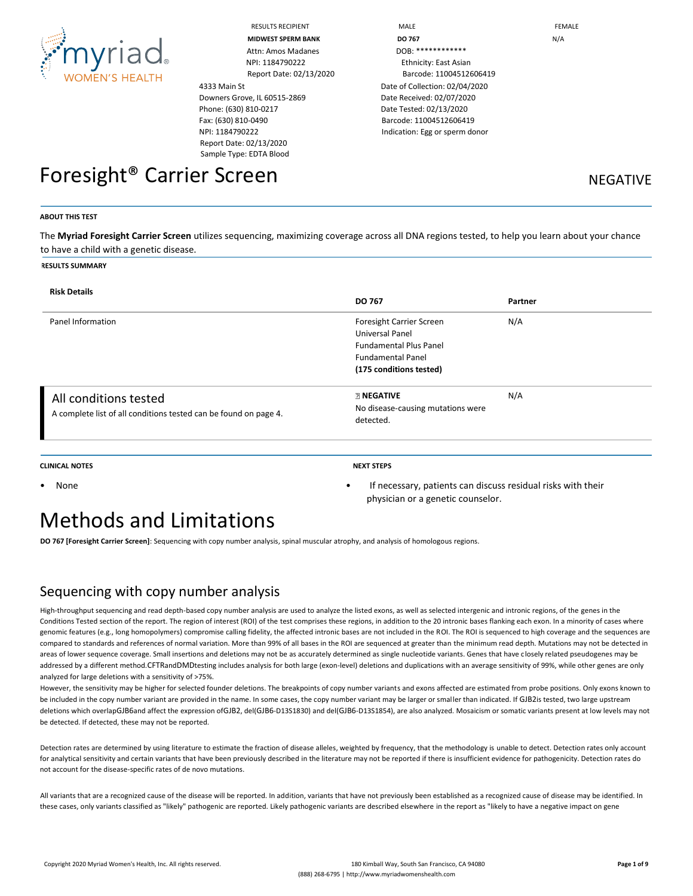

RESULTS RECIPIENT THE RESULTS RECIPIENT THE MALE THAT IS A RESULTS RECIPIENT THAT A RESULTS RECIPIENT THAT IS A RESULTS AND RESULTS ARE RESULTS.

Attn: Amos Madanes DOB: \*\*\*\*\*\*\*\*\*\*\*\*\* NPI: 1184790222 Ethnicity: East Asian

4333 Main St Downers Grove, IL 60515-2869 Phone: (630) 810-0217 Fax: (630) 810-0490 NPI: 1184790222 Report Date: 02/13/2020 Sample Type: EDTA Blood

**MIDWEST SPERM BANK DO 767** N/A Report Date: 02/13/2020 Barcode: 11004512606419 Date of Collection: 02/04/2020 Date Received: 02/07/2020 Date Tested: 02/13/2020 Barcode: 11004512606419 Indication: Egg or sperm donor

Foresight<sup>®</sup> Carrier Screen Negative NEGATIVE

**ABOUT THIS TEST**

The **Myriad Foresight Carrier Screen** utilizes sequencing, maximizing coverage across all DNA regions tested, to help you learn about your chance to have a child with a genetic disease.

#### **RESULTS SUMMARY**

| <b>Risk Details</b>                                                                       | <b>DO 767</b>                                                                                                                       | Partner |
|-------------------------------------------------------------------------------------------|-------------------------------------------------------------------------------------------------------------------------------------|---------|
| Panel Information                                                                         | Foresight Carrier Screen<br>Universal Panel<br><b>Fundamental Plus Panel</b><br><b>Fundamental Panel</b><br>(175 conditions tested) | N/A     |
| All conditions tested<br>A complete list of all conditions tested can be found on page 4. | <b>ENEGATIVE</b><br>No disease-causing mutations were<br>detected.                                                                  | N/A     |

**CLINICAL NOTES NEXT STEPS**

physician or a genetic counselor.

• None • If necessary, patients can discuss residual risks with their

# Methods and Limitations

**DO 767 [Foresight Carrier Screen]**: Sequencing with copy number analysis, spinal muscular atrophy, and analysis of homologous regions.

## Sequencing with copy number analysis

High-throughput sequencing and read depth-based copy number analysis are used to analyze the listed exons, as well as selected intergenic and intronic regions, of the genes in the Conditions Tested section of the report. The region of interest (ROI) of the test comprises these regions, in addition to the 20 intronic bases flanking each exon. In a minority of cases where genomic features (e.g., long homopolymers) compromise calling fidelity, the affected intronic bases are not included in the ROI. The ROI is sequenced to high coverage and the sequences are compared to standards and references of normal variation. More than 99% of all bases in the ROI are sequenced at greater than the minimum read depth. Mutations may not be detected in areas of lower sequence coverage. Small insertions and deletions may not be as accurately determined as single nucleotide variants. Genes that have closely related pseudogenes may be addressed by a different method.CFTRandDMDtesting includes analysis for both large (exon-level) deletions and duplications with an average sensitivity of 99%, while other genes are only analyzed for large deletions with a sensitivity of >75%.

However, the sensitivity may be higher for selected founder deletions. The breakpoints of copy number variants and exons affected are estimated from probe positions. Only exons known to be included in the copy number variant are provided in the name. In some cases, the copy number variant may be larger or smaller than indicated. If GJB2is tested, two large upstream deletions which overlapGJB6and affect the expression ofGJB2, del(GJB6-D13S1830) and del(GJB6-D13S1854), are also analyzed. Mosaicism or somatic variants present at low levels may not be detected. If detected, these may not be reported.

Detection rates are determined by using literature to estimate the fraction of disease alleles, weighted by frequency, that the methodology is unable to detect. Detection rates only account for analytical sensitivity and certain variants that have been previously described in the literature may not be reported if there is insufficient evidence for pathogenicity. Detection rates do not account for the disease-specific rates of de novo mutations.

All variants that are a recognized cause of the disease will be reported. In addition, variants that have not previously been established as a recognized cause of disease may be identified. In these cases, only variants classified as "likely" pathogenic are reported. Likely pathogenic variants are described elsewhere in the report as "likely to have a negative impact on gene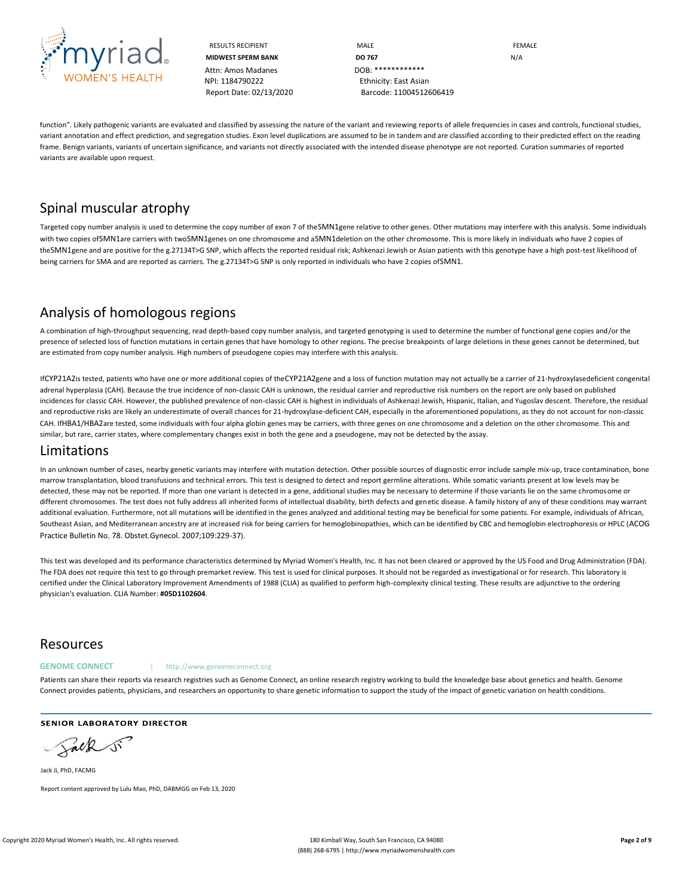

Attn: Amos Madanes DOB: \*\*\*\*\*\*\*\*\*\*\*\* NPI: 1184790222 Ethnicity: East Asian

RESULTS RECIPIENT **MALE MALE EDUCATE MIDWEST SPERM BANK DO 767** N/A Report Date: 02/13/2020 Barcode: 11004512606419

function". Likely pathogenic variants are evaluated and classified by assessing the nature of the variant and reviewing reports of allele frequencies in cases and controls, functional studies, variant annotation and effect prediction, and segregation studies. Exon level duplications are assumed to be in tandem and are classified according to their predicted effect on the reading frame. Benign variants, variants of uncertain significance, and variants not directly associated with the intended disease phenotype are not reported. Curation summaries of reported variants are available upon request.

# Spinal muscular atrophy

Targeted copy number analysis is used to determine the copy number of exon 7 of theSMN1gene relative to other genes. Other mutations may interfere with this analysis. Some individuals with two copies ofSMN1are carriers with twoSMN1genes on one chromosome and aSMN1deletion on the other chromosome. This is more likely in individuals who have 2 copies of theSMN1gene and are positive for the g.27134T>G SNP, which affects the reported residual risk; Ashkenazi Jewish or Asian patients with this genotype have a high post-test likelihood of being carriers for SMA and are reported as carriers. The g.27134T>G SNP is only reported in individuals who have 2 copies ofSMN1.

## Analysis of homologous regions

A combination of high-throughput sequencing, read depth-based copy number analysis, and targeted genotyping is used to determine the number of functional gene copies and/or the presence of selected loss of function mutations in certain genes that have homology to other regions. The precise breakpoints of large deletions in these genes cannot be determined, but are estimated from copy number analysis. High numbers of pseudogene copies may interfere with this analysis.

IfCYP21A2is tested, patients who have one or more additional copies of theCYP21A2gene and a loss of function mutation may not actually be a carrier of 21-hydroxylasedeficient congenital adrenal hyperplasia (CAH). Because the true incidence of non-classic CAH is unknown, the residual carrier and reproductive risk numbers on the report are only based on published incidences for classic CAH. However, the published prevalence of non-classic CAH is highest in individuals of Ashkenazi Jewish, Hispanic, Italian, and Yugoslav descent. Therefore, the residual and reproductive risks are likely an underestimate of overall chances for 21-hydroxylase-deficient CAH, especially in the aforementioned populations, as they do not account for non-classic CAH. IfHBA1/HBA2are tested, some individuals with four alpha globin genes may be carriers, with three genes on one chromosome and a deletion on the other chromosome. This and similar, but rare, carrier states, where complementary changes exist in both the gene and a pseudogene, may not be detected by the assay.

## Limitations

In an unknown number of cases, nearby genetic variants may interfere with mutation detection. Other possible sources of diagnostic error include sample mix-up, trace contamination, bone marrow transplantation, blood transfusions and technical errors. This test is designed to detect and report germline alterations. While somatic variants present at low levels may be detected, these may not be reported. If more than one variant is detected in a gene, additional studies may be necessary to determine if those variants lie on the same chromosome or different chromosomes. The test does not fully address all inherited forms of intellectual disability, birth defects and genetic disease. A family history of any of these conditions may warrant additional evaluation. Furthermore, not all mutations will be identified in the genes analyzed and additional testing may be beneficial for some patients. For example, individuals of African, Southeast Asian, and Mediterranean ancestry are at increased risk for being carriers for hemoglobinopathies, which can be identified by CBC and hemoglobin electrophoresis or HPLC (ACOG Practice Bulletin No. 78. Obstet.Gynecol. 2007;109:229-37).

This test was developed and its performance characteristics determined by Myriad Women's Health, Inc. It has not been cleared or approved by the US Food and Drug Administration (FDA). The FDA does not require this test to go through premarket review. This test is used for clinical purposes. It should not be regarded as investigational or for research. This laboratory is certified under the Clinical Laboratory Improvement Amendments of 1988 (CLIA) as qualified to perform high-complexity clinical testing. These results are adjunctive to the ordering physician's evaluation. CLIA Number: **#05D1102604**.

## Resources

#### **GENOME CONNECT** | http://www.genomeconnect.org

Patients can share their reports via research registries such as Genome Connect, an online research registry working to build the knowledge base about genetics and health. Genome Connect provides patients, physicians, and researchers an opportunity to share genetic information to support the study of the impact of genetic variation on health conditions.

**SENIOR LABORATORY DIRECTOR** 

Salk

Jack Ji, PhD, FACMG Report content approved by Lulu Mao, PhD, DABMGG on Feb 13, 2020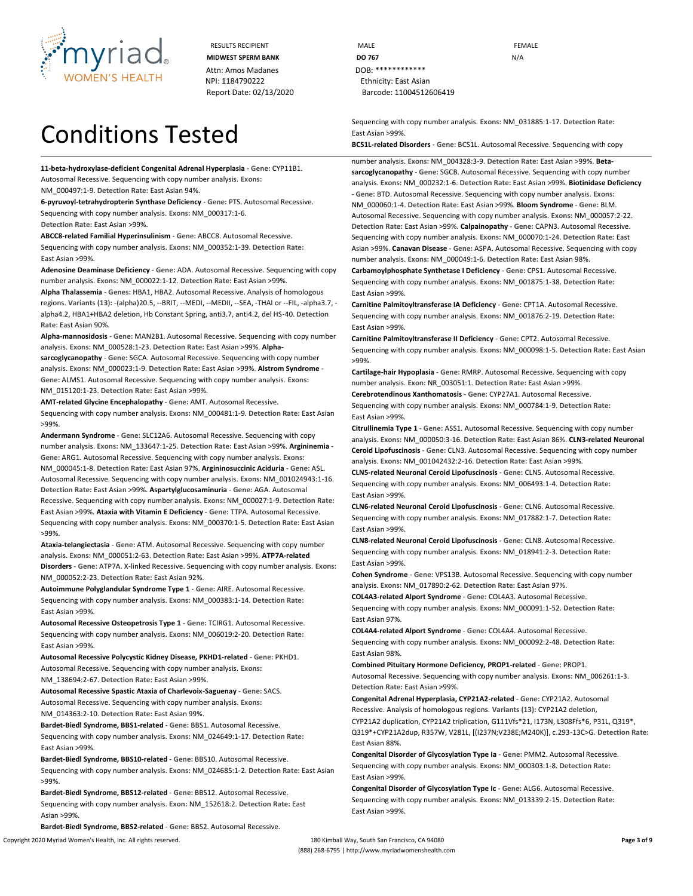

Attn: Amos Madanes **DOB:** \*\*\*\*\*\*\*\*\*\*\*\*\* NPI: 1184790222 Ethnicity: East Asian Report Date: 02/13/2020 Barcode: 11004512606419

# Conditions Tested

**11-beta-hydroxylase-deficient Congenital Adrenal Hyperplasia** - **Gene:** CYP11B1. Autosomal Recessive. Sequencing with copy number analysis. **Exons:**

NM\_000497:1-9. **Detection Rate:** East Asian 94%.

**6-pyruvoyl-tetrahydropterin Synthase Deficiency** - **Gene:** PTS. Autosomal Recessive. Sequencing with copy number analysis. **Exons:** NM\_000317:1-6. **Detection Rate:** East Asian >99%.

**ABCC8-related Familial Hyperinsulinism** - **Gene:** ABCC8. Autosomal Recessive. Sequencing with copy number analysis. **Exons:** NM\_000352:1-39. **Detection Rate:** East Asian >99%.

**Adenosine Deaminase Deficiency** - **Gene:** ADA. Autosomal Recessive. Sequencing with copy number analysis. **Exons:** NM\_000022:1-12. **Detection Rate:** East Asian >99%.

**Alpha Thalassemia** - **Genes:** HBA1, HBA2. Autosomal Recessive. Analysis of homologous regions. **Variants (13):** -(alpha)20.5, --BRIT, --MEDI, --MEDII, --SEA, -THAI or --FIL, -alpha3.7, alpha4.2, HBA1+HBA2 deletion, Hb Constant Spring, anti3.7, anti4.2, del HS-40. **Detection Rate:** East Asian 90%.

**Alpha-mannosidosis** - **Gene:** MAN2B1. Autosomal Recessive. Sequencing with copy number analysis. **Exons:** NM\_000528:1-23. **Detection Rate:** East Asian >99%. **Alphasarcoglycanopathy** - **Gene:** SGCA. Autosomal Recessive. Sequencing with copy number

analysis. **Exons:** NM\_000023:1-9. **Detection Rate:** East Asian >99%. **Alstrom Syndrome** - **Gene:** ALMS1. Autosomal Recessive. Sequencing with copy number analysis. **Exons:**  NM\_015120:1-23. **Detection Rate:** East Asian >99%.

**AMT-related Glycine Encephalopathy** - **Gene:** AMT. Autosomal Recessive. Sequencing with copy number analysis. **Exons:** NM\_000481:1-9. **Detection Rate:** East Asian >99%.

**Andermann Syndrome** - **Gene:** SLC12A6. Autosomal Recessive. Sequencing with copy number analysis. **Exons:** NM\_133647:1-25. **Detection Rate:** East Asian >99%. **Argininemia** - **Gene:** ARG1. Autosomal Recessive. Sequencing with copy number analysis. **Exons:**  NM\_000045:1-8. **Detection Rate:** East Asian 97%. **Argininosuccinic Aciduria** - **Gene:** ASL. Autosomal Recessive. Sequencing with copy number analysis. **Exons:** NM\_001024943:1-16. **Detection Rate:** East Asian >99%. **Aspartylglucosaminuria** - **Gene:** AGA. Autosomal Recessive. Sequencing with copy number analysis. **Exons:** NM\_000027:1-9. **Detection Rate:**  East Asian >99%. **Ataxia with Vitamin E Deficiency** - **Gene:** TTPA. Autosomal Recessive. Sequencing with copy number analysis. **Exons:** NM\_000370:1-5. **Detection Rate:** East Asian >99%.

**Ataxia-telangiectasia** - **Gene:** ATM. Autosomal Recessive. Sequencing with copy number analysis. **Exons:** NM\_000051:2-63. **Detection Rate:** East Asian >99%. **ATP7A-related Disorders** - **Gene:** ATP7A. X-linked Recessive. Sequencing with copy number analysis. **Exons:**  NM\_000052:2-23. **Detection Rate:** East Asian 92%.

**Autoimmune Polyglandular Syndrome Type 1** - **Gene:** AIRE. Autosomal Recessive. Sequencing with copy number analysis. **Exons:** NM\_000383:1-14. **Detection Rate:** East Asian >99%.

**Autosomal Recessive Osteopetrosis Type 1** - **Gene:** TCIRG1. Autosomal Recessive. Sequencing with copy number analysis. **Exons:** NM\_006019:2-20. **Detection Rate:** East Asian >99%.

**Autosomal Recessive Polycystic Kidney Disease, PKHD1-related** - **Gene:** PKHD1. Autosomal Recessive. Sequencing with copy number analysis. **Exons:** NM\_138694:2-67. **Detection Rate:** East Asian >99%.

**Autosomal Recessive Spastic Ataxia of Charlevoix-Saguenay** - **Gene:** SACS. Autosomal Recessive. Sequencing with copy number analysis. **Exons:** NM\_014363:2-10. **Detection Rate:** East Asian 99%.

**Bardet-Biedl Syndrome, BBS1-related** - **Gene:** BBS1. Autosomal Recessive. Sequencing with copy number analysis. **Exons:** NM\_024649:1-17. **Detection Rate:** East Asian >99%.

**Bardet-Biedl Syndrome, BBS10-related** - **Gene:** BBS10. Autosomal Recessive. Sequencing with copy number analysis. **Exons:** NM\_024685:1-2. **Detection Rate:** East Asian >99%.

**Bardet-Biedl Syndrome, BBS12-related** - **Gene:** BBS12. Autosomal Recessive. Sequencing with copy number analysis. **Exon:** NM\_152618:2. **Detection Rate:** East Asian >99%.

**Bardet-Biedl Syndrome, BBS2-related** - **Gene:** BBS2. Autosomal Recessive.

RESULTS RECIPIENT **MALE MALE EXAMPLE MIDWEST SPERM BANK DO 767 DO** 767

> Sequencing with copy number analysis. **Exons:** NM\_031885:1-17. **Detection Rate:** East Asian >99%.

**BCS1L-related Disorders** - **Gene:** BCS1L. Autosomal Recessive. Sequencing with copy

number analysis. **Exons:** NM\_004328:3-9. **Detection Rate:** East Asian >99%. **Betasarcoglycanopathy** - **Gene:** SGCB. Autosomal Recessive. Sequencing with copy number analysis. **Exons:** NM\_000232:1-6. **Detection Rate:** East Asian >99%. **Biotinidase Deficiency**  - **Gene:** BTD. Autosomal Recessive. Sequencing with copy number analysis. **Exons:**  NM\_000060:1-4. **Detection Rate:** East Asian >99%. **Bloom Syndrome** - **Gene:** BLM. Autosomal Recessive. Sequencing with copy number analysis. **Exons:** NM\_000057:2-22. **Detection Rate:** East Asian >99%. **Calpainopathy** - **Gene:** CAPN3. Autosomal Recessive. Sequencing with copy number analysis. **Exons:** NM\_000070:1-24. **Detection Rate:** East Asian >99%. **Canavan Disease** - **Gene:** ASPA. Autosomal Recessive. Sequencing with copy number analysis. **Exons:** NM\_000049:1-6. **Detection Rate:** East Asian 98%. **Carbamoylphosphate Synthetase I Deficiency** - **Gene:** CPS1. Autosomal Recessive. Sequencing with copy number analysis. **Exons:** NM\_001875:1-38. **Detection Rate:** East Asian >99%.

**Carnitine Palmitoyltransferase IA Deficiency** - **Gene:** CPT1A. Autosomal Recessive. Sequencing with copy number analysis. **Exons:** NM\_001876:2-19. **Detection Rate:** East Asian >99%.

**Carnitine Palmitoyltransferase II Deficiency** - **Gene:** CPT2. Autosomal Recessive. Sequencing with copy number analysis. **Exons:** NM\_000098:1-5. **Detection Rate:** East Asian >99%.

**Cartilage-hair Hypoplasia** - **Gene:** RMRP. Autosomal Recessive. Sequencing with copy number analysis. **Exon:** NR\_003051:1. **Detection Rate:** East Asian >99%. **Cerebrotendinous Xanthomatosis** - **Gene:** CYP27A1. Autosomal Recessive.

Sequencing with copy number analysis. **Exons:** NM\_000784:1-9. **Detection Rate:** East Asian >99%.

**Citrullinemia Type 1** - **Gene:** ASS1. Autosomal Recessive. Sequencing with copy number analysis. **Exons:** NM\_000050:3-16. **Detection Rate:** East Asian 86%. **CLN3-related Neuronal Ceroid Lipofuscinosis** - **Gene:** CLN3. Autosomal Recessive. Sequencing with copy number analysis. **Exons:** NM\_001042432:2-16. **Detection Rate:** East Asian >99%.

**CLN5-related Neuronal Ceroid Lipofuscinosis** - **Gene:** CLN5. Autosomal Recessive. Sequencing with copy number analysis. **Exons:** NM\_006493:1-4. **Detection Rate:** East Asian >99%.

**CLN6-related Neuronal Ceroid Lipofuscinosis** - **Gene:** CLN6. Autosomal Recessive. Sequencing with copy number analysis. **Exons:** NM\_017882:1-7. **Detection Rate:** East Asian >99%.

**CLN8-related Neuronal Ceroid Lipofuscinosis** - **Gene:** CLN8. Autosomal Recessive. Sequencing with copy number analysis. **Exons:** NM\_018941:2-3. **Detection Rate:** East Asian >99%.

**Cohen Syndrome** - **Gene:** VPS13B. Autosomal Recessive. Sequencing with copy number analysis. **Exons:** NM\_017890:2-62. **Detection Rate:** East Asian 97%.

**COL4A3-related Alport Syndrome** - **Gene:** COL4A3. Autosomal Recessive. Sequencing with copy number analysis. **Exons:** NM\_000091:1-52. **Detection Rate:** East Asian 97%.

**COL4A4-related Alport Syndrome** - **Gene:** COL4A4. Autosomal Recessive. Sequencing with copy number analysis. **Exons:** NM\_000092:2-48. **Detection Rate:** East Asian 98%.

**Combined Pituitary Hormone Deficiency, PROP1-related** - **Gene:** PROP1. Autosomal Recessive. Sequencing with copy number analysis. **Exons:** NM\_006261:1-3. **Detection Rate:** East Asian >99%.

**Congenital Adrenal Hyperplasia, CYP21A2-related** - **Gene:** CYP21A2. Autosomal Recessive. Analysis of homologous regions. **Variants (13):** CYP21A2 deletion, CYP21A2 duplication, CYP21A2 triplication, G111Vfs\*21, I173N, L308Ffs\*6, P31L, Q319\*, Q319\*+CYP21A2dup, R357W, V281L, [(I237N;V238E;M240K)], c.293-13C>G. **Detection Rate:**  East Asian 88%.

**Congenital Disorder of Glycosylation Type Ia** - **Gene:** PMM2. Autosomal Recessive. Sequencing with copy number analysis. **Exons:** NM\_000303:1-8. **Detection Rate:** East Asian >99%.

**Congenital Disorder of Glycosylation Type Ic** - **Gene:** ALG6. Autosomal Recessive. Sequencing with copy number analysis. **Exons:** NM\_013339:2-15. **Detection Rate:** East Asian >99%.

Copyright 2020 Myriad Women's Health, Inc. All rights reserved. **180** Kimball Way, South San Francisco, CA 94080 **Page 3 of 9 Page 3 of 9** (888) 268-6795 | http://www.myriadwomenshealth.com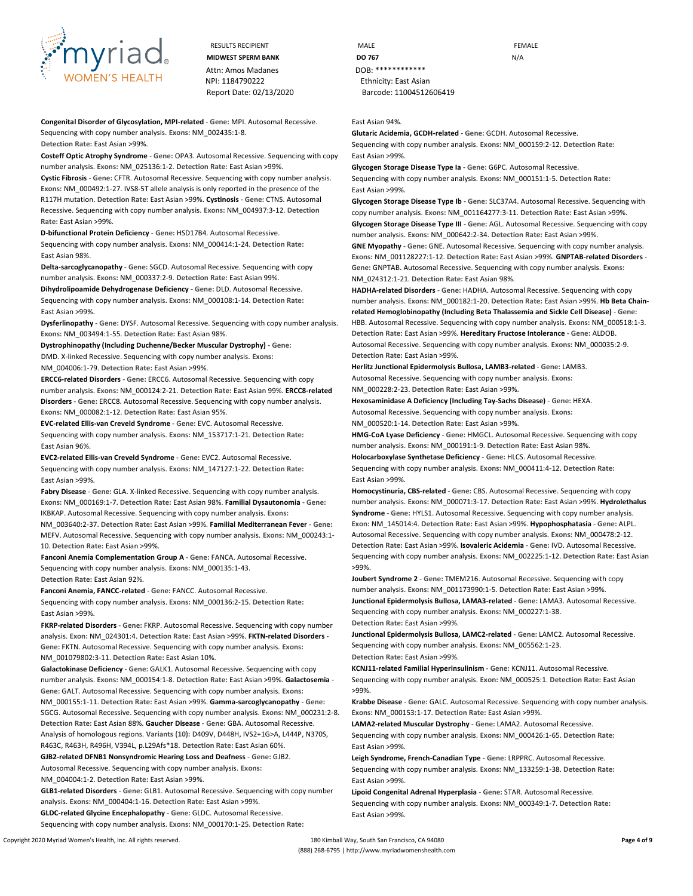

RESULTS RECIPIENT **MALE MALE EXAMPLE** Attn: Amos Madanes **DOB:** \*\*\*\*\*\*\*\*\*\*\*\*\* NPI: 1184790222 Ethnicity: East Asian Report Date: 02/13/2020 Barcode: 11004512606419

**Congenital Disorder of Glycosylation, MPI-related** - **Gene:** MPI. Autosomal Recessive. Sequencing with copy number analysis. **Exons:** NM\_002435:1-8. **Detection Rate:** East Asian >99%.

**Costeff Optic Atrophy Syndrome** - **Gene:** OPA3. Autosomal Recessive. Sequencing with copy number analysis. **Exons:** NM\_025136:1-2. **Detection Rate:** East Asian >99%.

**Cystic Fibrosis** - **Gene:** CFTR. Autosomal Recessive. Sequencing with copy number analysis. **Exons:** NM\_000492:1-27. IVS8-5T allele analysis is only reported in the presence of the R117H mutation. **Detection Rate:** East Asian >99%. **Cystinosis** - **Gene:** CTNS. Autosomal Recessive. Sequencing with copy number analysis. **Exons:** NM\_004937:3-12. **Detection Rate:** East Asian >99%.

**D-bifunctional Protein Deficiency** - **Gene:** HSD17B4. Autosomal Recessive.

Sequencing with copy number analysis. **Exons:** NM\_000414:1-24. **Detection Rate:** East Asian 98%.

**Delta-sarcoglycanopathy** - **Gene:** SGCD. Autosomal Recessive. Sequencing with copy number analysis. **Exons:** NM\_000337:2-9. **Detection Rate:** East Asian 99%.

**Dihydrolipoamide Dehydrogenase Deficiency** - **Gene:** DLD. Autosomal Recessive. Sequencing with copy number analysis. **Exons:** NM\_000108:1-14. **Detection Rate:** East Asian >99%.

**Dysferlinopathy** - **Gene:** DYSF. Autosomal Recessive. Sequencing with copy number analysis. **Exons:** NM\_003494:1-55. **Detection Rate:** East Asian 98%.

**Dystrophinopathy (Including Duchenne/Becker Muscular Dystrophy)** - **Gene:**

DMD. X-linked Recessive. Sequencing with copy number analysis. **Exons:** NM\_004006:1-79. **Detection Rate:** East Asian >99%.

**ERCC6-related Disorders** - **Gene:** ERCC6. Autosomal Recessive. Sequencing with copy

number analysis. **Exons:** NM\_000124:2-21. **Detection Rate:** East Asian 99%. **ERCC8-related Disorders** - **Gene:** ERCC8. Autosomal Recessive. Sequencing with copy number analysis. **Exons:** NM\_000082:1-12. **Detection Rate:** East Asian 95%.

**EVC-related Ellis-van Creveld Syndrome** - **Gene:** EVC. Autosomal Recessive.

Sequencing with copy number analysis. **Exons:** NM\_153717:1-21. **Detection Rate:** East Asian 96%.

**EVC2-related Ellis-van Creveld Syndrome** - **Gene:** EVC2. Autosomal Recessive. Sequencing with copy number analysis. **Exons:** NM\_147127:1-22. **Detection Rate:** East Asian >99%.

**Fabry Disease** - **Gene:** GLA. X-linked Recessive. Sequencing with copy number analysis. **Exons:** NM\_000169:1-7. **Detection Rate:** East Asian 98%. **Familial Dysautonomia** - **Gene:**  IKBKAP. Autosomal Recessive. Sequencing with copy number analysis. **Exons:**  NM\_003640:2-37. **Detection Rate:** East Asian >99%. **Familial Mediterranean Fever** - **Gene:**  MEFV. Autosomal Recessive. Sequencing with copy number analysis. **Exons:** NM\_000243:1- 10. **Detection Rate:** East Asian >99%.

**Fanconi Anemia Complementation Group A** - **Gene:** FANCA. Autosomal Recessive. Sequencing with copy number analysis. **Exons:** NM\_000135:1-43. **Detection Rate:** East Asian 92%.

**Fanconi Anemia, FANCC-related** - **Gene:** FANCC. Autosomal Recessive. Sequencing with copy number analysis. **Exons:** NM\_000136:2-15. **Detection Rate:** East Asian >99%.

**FKRP-related Disorders** - **Gene:** FKRP. Autosomal Recessive. Sequencing with copy number analysis. **Exon:** NM\_024301:4. **Detection Rate:** East Asian >99%. **FKTN-related Disorders** - **Gene:** FKTN. Autosomal Recessive. Sequencing with copy number analysis. **Exons:**  NM\_001079802:3-11. **Detection Rate:** East Asian 10%.

**Galactokinase Deficiency** - **Gene:** GALK1. Autosomal Recessive. Sequencing with copy number analysis. **Exons:** NM\_000154:1-8. **Detection Rate:** East Asian >99%. **Galactosemia** - **Gene:** GALT. Autosomal Recessive. Sequencing with copy number analysis. **Exons:**  NM\_000155:1-11. **Detection Rate:** East Asian >99%. **Gamma-sarcoglycanopathy** - **Gene:**  SGCG. Autosomal Recessive. Sequencing with copy number analysis. **Exons:** NM\_000231:2-8. **Detection Rate:** East Asian 88%. **Gaucher Disease** - **Gene:** GBA. Autosomal Recessive. Analysis of homologous regions. **Variants (10):** D409V, D448H, IVS2+1G>A, L444P, N370S, R463C, R463H, R496H, V394L, p.L29Afs\*18. **Detection Rate:** East Asian 60%. **GJB2-related DFNB1 Nonsyndromic Hearing Loss and Deafness** - **Gene:** GJB2.

Autosomal Recessive. Sequencing with copy number analysis. **Exons:**

NM\_004004:1-2. **Detection Rate:** East Asian >99%.

**GLB1-related Disorders** - **Gene:** GLB1. Autosomal Recessive. Sequencing with copy number analysis. **Exons:** NM\_000404:1-16. **Detection Rate:** East Asian >99%.

**GLDC-related Glycine Encephalopathy** - **Gene:** GLDC. Autosomal Recessive.

Sequencing with copy number analysis. **Exons:** NM\_000170:1-25. **Detection Rate:**

**MIDWEST SPERM BANK DO 767** N/A

East Asian 94%.

**Glutaric Acidemia, GCDH-related** - **Gene:** GCDH. Autosomal Recessive. Sequencing with copy number analysis. **Exons:** NM\_000159:2-12. **Detection Rate:** East Asian >99%.

**Glycogen Storage Disease Type Ia** - **Gene:** G6PC. Autosomal Recessive. Sequencing with copy number analysis. **Exons:** NM\_000151:1-5. **Detection Rate:** East Asian >99%.

**Glycogen Storage Disease Type Ib** - **Gene:** SLC37A4. Autosomal Recessive. Sequencing with copy number analysis. **Exons:** NM\_001164277:3-11. **Detection Rate:** East Asian >99%.

**Glycogen Storage Disease Type III** - **Gene:** AGL. Autosomal Recessive. Sequencing with copy number analysis. **Exons:** NM\_000642:2-34. **Detection Rate:** East Asian >99%.

**GNE Myopathy** - **Gene:** GNE. Autosomal Recessive. Sequencing with copy number analysis. **Exons:** NM\_001128227:1-12. **Detection Rate:** East Asian >99%. **GNPTAB-related Disorders** - **Gene:** GNPTAB. Autosomal Recessive. Sequencing with copy number analysis. **Exons:**  NM\_024312:1-21. **Detection Rate:** East Asian 98%.

**HADHA-related Disorders** - **Gene:** HADHA. Autosomal Recessive. Sequencing with copy number analysis. **Exons:** NM\_000182:1-20. **Detection Rate:** East Asian >99%. **Hb Beta Chainrelated Hemoglobinopathy (Including Beta Thalassemia and Sickle Cell Disease)** - **Gene:**  HBB. Autosomal Recessive. Sequencing with copy number analysis. **Exons:** NM\_000518:1-3. **Detection Rate:** East Asian >99%. **Hereditary Fructose Intolerance** - **Gene:** ALDOB. Autosomal Recessive. Sequencing with copy number analysis. **Exons:** NM\_000035:2-9. **Detection Rate:** East Asian >99%.

**Herlitz Junctional Epidermolysis Bullosa, LAMB3-related** - **Gene:** LAMB3.

Autosomal Recessive. Sequencing with copy number analysis. **Exons:** NM\_000228:2-23. **Detection Rate:** East Asian >99%.

**Hexosaminidase A Deficiency (Including Tay-Sachs Disease)** - **Gene:** HEXA. Autosomal Recessive. Sequencing with copy number analysis. **Exons:** NM\_000520:1-14. **Detection Rate:** East Asian >99%.

**HMG-CoA Lyase Deficiency** - **Gene:** HMGCL. Autosomal Recessive. Sequencing with copy number analysis. **Exons:** NM\_000191:1-9. **Detection Rate:** East Asian 98%.

**Holocarboxylase Synthetase Deficiency** - **Gene:** HLCS. Autosomal Recessive. Sequencing with copy number analysis. **Exons:** NM\_000411:4-12. **Detection Rate:** East Asian >99%.

**Homocystinuria, CBS-related** - **Gene:** CBS. Autosomal Recessive. Sequencing with copy number analysis. **Exons:** NM\_000071:3-17. **Detection Rate:** East Asian >99%. **Hydrolethalus Syndrome** - **Gene:** HYLS1. Autosomal Recessive. Sequencing with copy number analysis. **Exon:** NM\_145014:4. **Detection Rate:** East Asian >99%. **Hypophosphatasia** - **Gene:** ALPL. Autosomal Recessive. Sequencing with copy number analysis. **Exons:** NM\_000478:2-12. **Detection Rate:** East Asian >99%. **Isovaleric Acidemia** - **Gene:** IVD. Autosomal Recessive. Sequencing with copy number analysis. **Exons:** NM\_002225:1-12. **Detection Rate:** East Asian >99%.

**Joubert Syndrome 2** - **Gene:** TMEM216. Autosomal Recessive. Sequencing with copy number analysis. **Exons:** NM\_001173990:1-5. **Detection Rate:** East Asian >99%. **Junctional Epidermolysis Bullosa, LAMA3-related** - **Gene:** LAMA3. Autosomal Recessive. Sequencing with copy number analysis. **Exons:** NM\_000227:1-38.

**Detection Rate:** East Asian >99%.

**Junctional Epidermolysis Bullosa, LAMC2-related** - **Gene:** LAMC2. Autosomal Recessive. Sequencing with copy number analysis. **Exons:** NM\_005562:1-23. **Detection Rate:** East Asian >99%.

**KCNJ11-related Familial Hyperinsulinism** - **Gene:** KCNJ11. Autosomal Recessive. Sequencing with copy number analysis. **Exon:** NM\_000525:1. **Detection Rate:** East Asian >99%.

**Krabbe Disease** - **Gene:** GALC. Autosomal Recessive. Sequencing with copy number analysis. **Exons:** NM\_000153:1-17. **Detection Rate:** East Asian >99%.

**LAMA2-related Muscular Dystrophy** - **Gene:** LAMA2. Autosomal Recessive.

Sequencing with copy number analysis. **Exons:** NM\_000426:1-65. **Detection Rate:** East Asian >99%.

**Leigh Syndrome, French-Canadian Type** - **Gene:** LRPPRC. Autosomal Recessive. Sequencing with copy number analysis. **Exons:** NM\_133259:1-38. **Detection Rate:** East Asian >99%.

**Lipoid Congenital Adrenal Hyperplasia** - **Gene:** STAR. Autosomal Recessive. Sequencing with copy number analysis. **Exons:** NM\_000349:1-7. **Detection Rate:** East Asian >99%.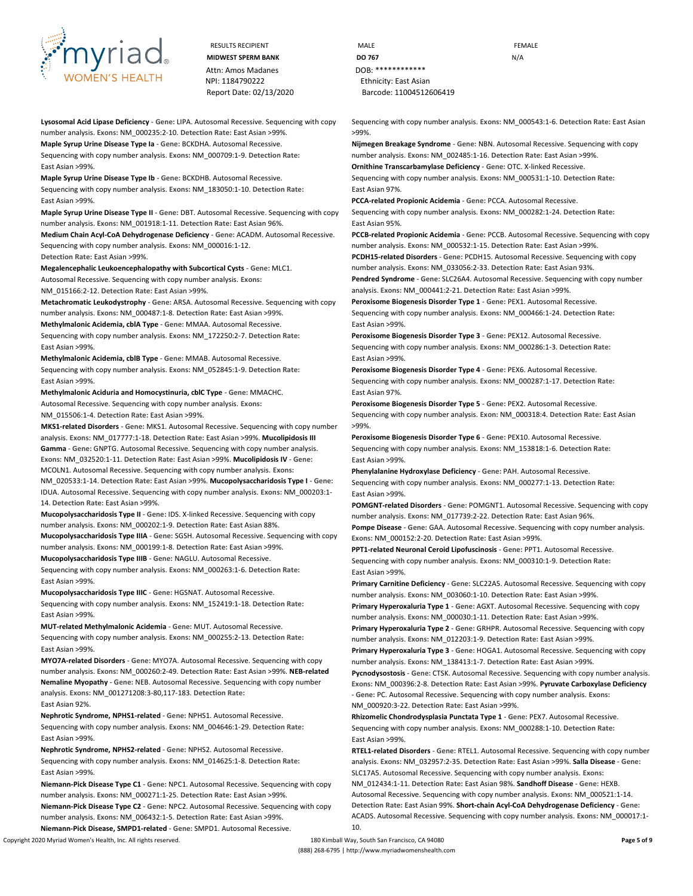

Attn: Amos Madanes **DOB:** \*\*\*\*\*\*\*\*\*\*\*\*\* NPI: 1184790222 Ethnicity: East Asian

**Lysosomal Acid Lipase Deficiency** - **Gene:** LIPA. Autosomal Recessive. Sequencing with copy number analysis. **Exons:** NM\_000235:2-10. **Detection Rate:** East Asian >99%. **Maple Syrup Urine Disease Type Ia** - **Gene:** BCKDHA. Autosomal Recessive.

Sequencing with copy number analysis. **Exons:** NM\_000709:1-9. **Detection Rate:** East Asian >99%.

**Maple Syrup Urine Disease Type Ib** - **Gene:** BCKDHB. Autosomal Recessive. Sequencing with copy number analysis. **Exons:** NM\_183050:1-10. **Detection Rate:** East Asian >99%.

**Maple Syrup Urine Disease Type II** - **Gene:** DBT. Autosomal Recessive. Sequencing with copy number analysis. **Exons:** NM\_001918:1-11. **Detection Rate:** East Asian 96%.

**Medium Chain Acyl-CoA Dehydrogenase Deficiency** - **Gene:** ACADM. Autosomal Recessive. Sequencing with copy number analysis. **Exons:** NM\_000016:1-12. **Detection Rate:** East Asian >99%.

**Megalencephalic Leukoencephalopathy with Subcortical Cysts** - **Gene:** MLC1. Autosomal Recessive. Sequencing with copy number analysis. **Exons:** NM\_015166:2-12. **Detection Rate:** East Asian >99%.

**Metachromatic Leukodystrophy** - **Gene:** ARSA. Autosomal Recessive. Sequencing with copy number analysis. **Exons:** NM\_000487:1-8. **Detection Rate:** East Asian >99%.

**Methylmalonic Acidemia, cblA Type** - **Gene:** MMAA. Autosomal Recessive. Sequencing with copy number analysis. **Exons:** NM\_172250:2-7. **Detection Rate:** East Asian >99%.

**Methylmalonic Acidemia, cblB Type** - **Gene:** MMAB. Autosomal Recessive. Sequencing with copy number analysis. **Exons:** NM\_052845:1-9. **Detection Rate:** East Asian >99%.

**Methylmalonic Aciduria and Homocystinuria, cblC Type** - **Gene:** MMACHC. Autosomal Recessive. Sequencing with copy number analysis. **Exons:**

NM\_015506:1-4. **Detection Rate:** East Asian >99%.

**MKS1-related Disorders** - **Gene:** MKS1. Autosomal Recessive. Sequencing with copy number analysis. **Exons:** NM\_017777:1-18. **Detection Rate:** East Asian >99%. **Mucolipidosis III Gamma** - **Gene:** GNPTG. Autosomal Recessive. Sequencing with copy number analysis. **Exons:** NM\_032520:1-11. **Detection Rate:** East Asian >99%. **Mucolipidosis IV** - **Gene:**  MCOLN1. Autosomal Recessive. Sequencing with copy number analysis. **Exons:**  NM\_020533:1-14. **Detection Rate:** East Asian >99%. **Mucopolysaccharidosis Type I** - **Gene:**  IDUA. Autosomal Recessive. Sequencing with copy number analysis. **Exons:** NM\_000203:1- 14. **Detection Rate:** East Asian >99%.

**Mucopolysaccharidosis Type II** - **Gene:** IDS. X-linked Recessive. Sequencing with copy number analysis. **Exons:** NM\_000202:1-9. **Detection Rate:** East Asian 88%. **Mucopolysaccharidosis Type IIIA** - **Gene:** SGSH. Autosomal Recessive. Sequencing with copy number analysis. **Exons:** NM\_000199:1-8. **Detection Rate:** East Asian >99%.

**Mucopolysaccharidosis Type IIIB** - **Gene:** NAGLU. Autosomal Recessive.

Sequencing with copy number analysis. **Exons:** NM\_000263:1-6. **Detection Rate:** East Asian >99%.

**Mucopolysaccharidosis Type IIIC** - **Gene:** HGSNAT. Autosomal Recessive. Sequencing with copy number analysis. **Exons:** NM\_152419:1-18. **Detection Rate:** East Asian >99%.

**MUT-related Methylmalonic Acidemia** - **Gene:** MUT. Autosomal Recessive. Sequencing with copy number analysis. **Exons:** NM\_000255:2-13. **Detection Rate:** East Asian >99%.

**MYO7A-related Disorders** - **Gene:** MYO7A. Autosomal Recessive. Sequencing with copy number analysis. **Exons:** NM\_000260:2-49. **Detection Rate:** East Asian >99%. **NEB-related Nemaline Myopathy** - **Gene:** NEB. Autosomal Recessive. Sequencing with copy number analysis. **Exons:** NM\_001271208:3-80,117-183. **Detection Rate:** East Asian 92%.

**Nephrotic Syndrome, NPHS1-related** - **Gene:** NPHS1. Autosomal Recessive. Sequencing with copy number analysis. **Exons:** NM\_004646:1-29. **Detection Rate:** East Asian >99%.

**Nephrotic Syndrome, NPHS2-related** - **Gene:** NPHS2. Autosomal Recessive. Sequencing with copy number analysis. **Exons:** NM\_014625:1-8. **Detection Rate:** East Asian >99%.

**Niemann-Pick Disease Type C1** - **Gene:** NPC1. Autosomal Recessive. Sequencing with copy number analysis. **Exons:** NM\_000271:1-25. **Detection Rate:** East Asian >99%. **Niemann-Pick Disease Type C2** - **Gene:** NPC2. Autosomal Recessive. Sequencing with copy number analysis. **Exons:** NM\_006432:1-5. **Detection Rate:** East Asian >99%.

Copyright 2020 Myriad Women's Health, Inc. All rights reserved. 180 Kimball Way, South San Francisco, CA 94080 **Page 5 of 9 Niemann-Pick Disease, SMPD1-related** - **Gene:** SMPD1. Autosomal Recessive.

RESULTS RECIPIENT **MALE MALE EXAMPLE MIDWEST SPERM BANK DO 767 DO** 767 Report Date: 02/13/2020 Barcode: 11004512606419

> Sequencing with copy number analysis. **Exons:** NM\_000543:1-6. **Detection Rate:** East Asian >99%.

**Nijmegen Breakage Syndrome** - **Gene:** NBN. Autosomal Recessive. Sequencing with copy number analysis. **Exons:** NM\_002485:1-16. **Detection Rate:** East Asian >99%. **Ornithine Transcarbamylase Deficiency** - **Gene:** OTC. X-linked Recessive.

Sequencing with copy number analysis. **Exons:** NM\_000531:1-10. **Detection Rate:** East Asian 97%.

**PCCA-related Propionic Acidemia** - **Gene:** PCCA. Autosomal Recessive. Sequencing with copy number analysis. **Exons:** NM\_000282:1-24. **Detection Rate:** East Asian 95%.

**PCCB-related Propionic Acidemia** - **Gene:** PCCB. Autosomal Recessive. Sequencing with copy number analysis. **Exons:** NM\_000532:1-15. **Detection Rate:** East Asian >99%. **PCDH15-related Disorders** - **Gene:** PCDH15. Autosomal Recessive. Sequencing with copy number analysis. **Exons:** NM\_033056:2-33. **Detection Rate:** East Asian 93%. **Pendred Syndrome** - **Gene:** SLC26A4. Autosomal Recessive. Sequencing with copy number

analysis. **Exons:** NM\_000441:2-21. **Detection Rate:** East Asian >99%. **Peroxisome Biogenesis Disorder Type 1** - **Gene:** PEX1. Autosomal Recessive.

Sequencing with copy number analysis. **Exons:** NM\_000466:1-24. **Detection Rate:** East Asian >99%.

**Peroxisome Biogenesis Disorder Type 3** - **Gene:** PEX12. Autosomal Recessive. Sequencing with copy number analysis. **Exons:** NM\_000286:1-3. **Detection Rate:** East Asian >99%.

**Peroxisome Biogenesis Disorder Type 4** - **Gene:** PEX6. Autosomal Recessive. Sequencing with copy number analysis. **Exons:** NM\_000287:1-17. **Detection Rate:** East Asian 97%.

**Peroxisome Biogenesis Disorder Type 5** - **Gene:** PEX2. Autosomal Recessive. Sequencing with copy number analysis. **Exon:** NM\_000318:4. **Detection Rate:** East Asian >99%.

**Peroxisome Biogenesis Disorder Type 6** - **Gene:** PEX10. Autosomal Recessive. Sequencing with copy number analysis. **Exons:** NM\_153818:1-6. **Detection Rate:** East Asian >99%.

**Phenylalanine Hydroxylase Deficiency** - **Gene:** PAH. Autosomal Recessive. Sequencing with copy number analysis. **Exons:** NM\_000277:1-13. **Detection Rate:** East Asian >99%.

**POMGNT-related Disorders** - **Gene:** POMGNT1. Autosomal Recessive. Sequencing with copy number analysis. **Exons:** NM\_017739:2-22. **Detection Rate:** East Asian 96%.

**Pompe Disease** - **Gene:** GAA. Autosomal Recessive. Sequencing with copy number analysis. **Exons:** NM\_000152:2-20. **Detection Rate:** East Asian >99%.

**PPT1-related Neuronal Ceroid Lipofuscinosis** - **Gene:** PPT1. Autosomal Recessive. Sequencing with copy number analysis. **Exons:** NM\_000310:1-9. **Detection Rate:** East Asian >99%.

**Primary Carnitine Deficiency** - **Gene:** SLC22A5. Autosomal Recessive. Sequencing with copy number analysis. **Exons:** NM\_003060:1-10. **Detection Rate:** East Asian >99%.

**Primary Hyperoxaluria Type 1** - **Gene:** AGXT. Autosomal Recessive. Sequencing with copy number analysis. **Exons:** NM\_000030:1-11. **Detection Rate:** East Asian >99%.

**Primary Hyperoxaluria Type 2** - **Gene:** GRHPR. Autosomal Recessive. Sequencing with copy number analysis. **Exons:** NM\_012203:1-9. **Detection Rate:** East Asian >99%.

**Primary Hyperoxaluria Type 3** - **Gene:** HOGA1. Autosomal Recessive. Sequencing with copy number analysis. **Exons:** NM\_138413:1-7. **Detection Rate:** East Asian >99%.

**Pycnodysostosis** - **Gene:** CTSK. Autosomal Recessive. Sequencing with copy number analysis. **Exons:** NM\_000396:2-8. **Detection Rate:** East Asian >99%. **Pyruvate Carboxylase Deficiency**  - **Gene:** PC. Autosomal Recessive. Sequencing with copy number analysis. **Exons:**  NM\_000920:3-22. **Detection Rate:** East Asian >99%.

**Rhizomelic Chondrodysplasia Punctata Type 1** - **Gene:** PEX7. Autosomal Recessive. Sequencing with copy number analysis. **Exons:** NM\_000288:1-10. **Detection Rate:** East Asian >99%.

**RTEL1-related Disorders** - **Gene:** RTEL1. Autosomal Recessive. Sequencing with copy number analysis. **Exons:** NM\_032957:2-35. **Detection Rate:** East Asian >99%. **Salla Disease** - **Gene:**  SLC17A5. Autosomal Recessive. Sequencing with copy number analysis. **Exons:**  NM\_012434:1-11. **Detection Rate:** East Asian 98%. **Sandhoff Disease** - **Gene:** HEXB. Autosomal Recessive. Sequencing with copy number analysis. **Exons:** NM\_000521:1-14. **Detection Rate:** East Asian 99%. **Short-chain Acyl-CoA Dehydrogenase Deficiency** - **Gene:**  ACADS. Autosomal Recessive. Sequencing with copy number analysis. **Exons:** NM\_000017:1- 10.

(888) 268-6795 | http://www.myriadwomenshealth.com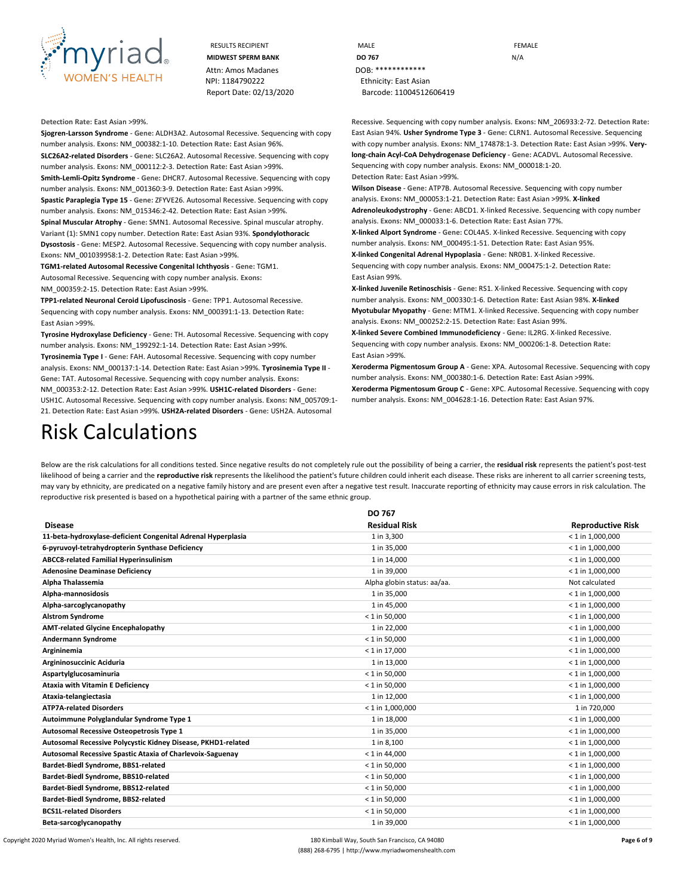

| <b>RESULTS RECIPIENT</b>  | MALE                    | <b>FEMALE</b> |
|---------------------------|-------------------------|---------------|
| <b>MIDWEST SPERM BANK</b> | DO 767                  | N/A           |
| Attn: Amos Madanes        | $DOR:$ *************    |               |
| NPI: 1184790222           | Ethnicity: East Asian   |               |
| Report Date: 02/13/2020   | Barcode: 11004512606419 |               |

#### **Detection Rate:** East Asian >99%.

**Sjogren-Larsson Syndrome** - **Gene:** ALDH3A2. Autosomal Recessive. Sequencing with copy number analysis. **Exons:** NM\_000382:1-10. **Detection Rate:** East Asian 96%. **SLC26A2-related Disorders** - **Gene:** SLC26A2. Autosomal Recessive. Sequencing with copy number analysis. **Exons:** NM\_000112:2-3. **Detection Rate:** East Asian >99%. **Smith-Lemli-Opitz Syndrome** - **Gene:** DHCR7. Autosomal Recessive. Sequencing with copy number analysis. **Exons:** NM\_001360:3-9. **Detection Rate:** East Asian >99%. **Spastic Paraplegia Type 15** - **Gene:** ZFYVE26. Autosomal Recessive. Sequencing with copy number analysis. **Exons:** NM\_015346:2-42. **Detection Rate:** East Asian >99%.

**Spinal Muscular Atrophy** - **Gene:** SMN1. Autosomal Recessive. Spinal muscular atrophy. **Variant (1):** SMN1 copy number. **Detection Rate:** East Asian 93%. **Spondylothoracic Dysostosis** - **Gene:** MESP2. Autosomal Recessive. Sequencing with copy number analysis. **Exons:** NM\_001039958:1-2. **Detection Rate:** East Asian >99%.

**TGM1-related Autosomal Recessive Congenital Ichthyosis** - **Gene:** TGM1. Autosomal Recessive. Sequencing with copy number analysis. **Exons:**

NM\_000359:2-15. **Detection Rate:** East Asian >99%.

**TPP1-related Neuronal Ceroid Lipofuscinosis** - **Gene:** TPP1. Autosomal Recessive. Sequencing with copy number analysis. **Exons:** NM\_000391:1-13. **Detection Rate:** East Asian >99%.

**Tyrosine Hydroxylase Deficiency** - **Gene:** TH. Autosomal Recessive. Sequencing with copy number analysis. **Exons:** NM\_199292:1-14. **Detection Rate:** East Asian >99%.

**Tyrosinemia Type I** - **Gene:** FAH. Autosomal Recessive. Sequencing with copy number analysis. **Exons:** NM\_000137:1-14. **Detection Rate:** East Asian >99%. **Tyrosinemia Type II** - **Gene:** TAT. Autosomal Recessive. Sequencing with copy number analysis. **Exons:**  NM\_000353:2-12. **Detection Rate:** East Asian >99%. **USH1C-related Disorders** - **Gene:**  USH1C. Autosomal Recessive. Sequencing with copy number analysis. **Exons:** NM\_005709:1- 21. **Detection Rate:** East Asian >99%. **USH2A-related Disorders** - **Gene:** USH2A. Autosomal

Recessive. Sequencing with copy number analysis. **Exons:** NM\_206933:2-72. **Detection Rate:**  East Asian 94%. **Usher Syndrome Type 3** - **Gene:** CLRN1. Autosomal Recessive. Sequencing with copy number analysis. **Exons:** NM\_174878:1-3. **Detection Rate:** East Asian >99%. **Verylong-chain Acyl-CoA Dehydrogenase Deficiency** - **Gene:** ACADVL. Autosomal Recessive. Sequencing with copy number analysis. **Exons:** NM\_000018:1-20.

**Detection Rate:** East Asian >99%.

**Wilson Disease** - **Gene:** ATP7B. Autosomal Recessive. Sequencing with copy number analysis. **Exons:** NM\_000053:1-21. **Detection Rate:** East Asian >99%. **X-linked Adrenoleukodystrophy** - **Gene:** ABCD1. X-linked Recessive. Sequencing with copy number analysis. **Exons:** NM\_000033:1-6. **Detection Rate:** East Asian 77%.

**X-linked Alport Syndrome** - **Gene:** COL4A5. X-linked Recessive. Sequencing with copy number analysis. **Exons:** NM\_000495:1-51. **Detection Rate:** East Asian 95%.

**X-linked Congenital Adrenal Hypoplasia** - **Gene:** NR0B1. X-linked Recessive. Sequencing with copy number analysis. **Exons:** NM\_000475:1-2. **Detection Rate:** East Asian 99%.

**X-linked Juvenile Retinoschisis** - **Gene:** RS1. X-linked Recessive. Sequencing with copy number analysis. **Exons:** NM\_000330:1-6. **Detection Rate:** East Asian 98%. **X-linked Myotubular Myopathy** - **Gene:** MTM1. X-linked Recessive. Sequencing with copy number analysis. **Exons:** NM\_000252:2-15. **Detection Rate:** East Asian 99%.

**X-linked Severe Combined Immunodeficiency** - **Gene:** IL2RG. X-linked Recessive. Sequencing with copy number analysis. **Exons:** NM\_000206:1-8. **Detection Rate:** East Asian >99%.

**Xeroderma Pigmentosum Group A** - **Gene:** XPA. Autosomal Recessive. Sequencing with copy number analysis. **Exons:** NM\_000380:1-6. **Detection Rate:** East Asian >99%.

**Xeroderma Pigmentosum Group C** - **Gene:** XPC. Autosomal Recessive. Sequencing with copy number analysis. **Exons:** NM\_004628:1-16. **Detection Rate:** East Asian 97%.

# Risk Calculations

Below are the risk calculations for all conditions tested. Since negative results do not completely rule out the possibility of being a carrier, the **residual risk** represents the patient's post-test likelihood of being a carrier and the reproductive risk represents the likelihood the patient's future children could inherit each disease. These risks are inherent to all carrier screening tests, may vary by ethnicity, are predicated on a negative family history and are present even after a negative test result. Inaccurate reporting of ethnicity may cause errors in risk calculation. The reproductive risk presented is based on a hypothetical pairing with a partner of the same ethnic group.

|                                                              | DO 767                      |                          |
|--------------------------------------------------------------|-----------------------------|--------------------------|
| <b>Disease</b>                                               | <b>Residual Risk</b>        | <b>Reproductive Risk</b> |
| 11-beta-hydroxylase-deficient Congenital Adrenal Hyperplasia | 1 in 3,300                  | $< 1$ in 1,000,000       |
| 6-pyruvoyl-tetrahydropterin Synthase Deficiency              | 1 in 35,000                 | $< 1$ in 1,000,000       |
| <b>ABCC8-related Familial Hyperinsulinism</b>                | 1 in 14,000                 | $<$ 1 in 1,000,000       |
| <b>Adenosine Deaminase Deficiency</b>                        | 1 in 39,000                 | $<$ 1 in 1,000,000       |
| Alpha Thalassemia                                            | Alpha globin status: aa/aa. | Not calculated           |
| Alpha-mannosidosis                                           | 1 in 35,000                 | $< 1$ in 1,000,000       |
| Alpha-sarcoglycanopathy                                      | 1 in 45,000                 | $< 1$ in 1,000,000       |
| <b>Alstrom Syndrome</b>                                      | $< 1$ in 50,000             | $<$ 1 in 1,000,000       |
| <b>AMT-related Glycine Encephalopathy</b>                    | 1 in 22,000                 | $<$ 1 in 1,000,000       |
| <b>Andermann Syndrome</b>                                    | $< 1$ in 50,000             | $<$ 1 in 1,000,000       |
| Argininemia                                                  | $< 1$ in 17,000             | $< 1$ in 1,000,000       |
| Argininosuccinic Aciduria                                    | 1 in 13,000                 | $<$ 1 in 1,000,000       |
| Aspartylglucosaminuria                                       | $< 1$ in 50,000             | $< 1$ in 1,000,000       |
| <b>Ataxia with Vitamin E Deficiency</b>                      | $< 1$ in 50,000             | $<$ 1 in 1,000,000       |
| Ataxia-telangiectasia                                        | 1 in 12,000                 | $<$ 1 in 1,000,000       |
| <b>ATP7A-related Disorders</b>                               | $< 1$ in 1,000,000          | 1 in 720,000             |
| Autoimmune Polyglandular Syndrome Type 1                     | 1 in 18,000                 | $< 1$ in 1,000,000       |
| Autosomal Recessive Osteopetrosis Type 1                     | 1 in 35,000                 | $<$ 1 in 1,000,000       |
| Autosomal Recessive Polycystic Kidney Disease, PKHD1-related | 1 in 8,100                  | $< 1$ in 1,000,000       |
| Autosomal Recessive Spastic Ataxia of Charlevoix-Saguenay    | $< 1$ in 44,000             | $< 1$ in 1,000,000       |
| Bardet-Biedl Syndrome, BBS1-related                          | $< 1$ in 50,000             | $<$ 1 in 1,000,000       |
| Bardet-Biedl Syndrome, BBS10-related                         | $< 1$ in 50,000             | $< 1$ in 1,000,000       |
| Bardet-Biedl Syndrome, BBS12-related                         | $< 1$ in 50,000             | $< 1$ in 1,000,000       |
| Bardet-Biedl Syndrome, BBS2-related                          | $< 1$ in 50,000             | $< 1$ in 1,000,000       |
| <b>BCS1L-related Disorders</b>                               | $< 1$ in 50,000             | $< 1$ in 1,000,000       |
| Beta-sarcoglycanopathy                                       | 1 in 39,000                 | $<$ 1 in 1.000.000       |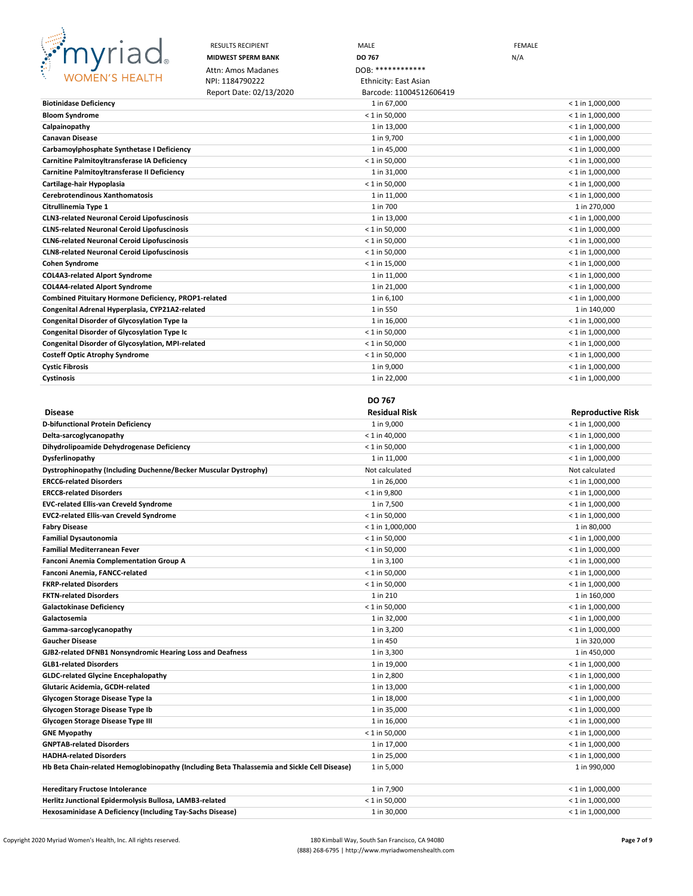

|                                                                 | <b>RESULTS RECIPIENT</b>  | MALE                           | <b>FEMALE</b>                            |
|-----------------------------------------------------------------|---------------------------|--------------------------------|------------------------------------------|
| <b>BRANCH</b><br>myriad.                                        | <b>MIDWEST SPERM BANK</b> | DO 767                         | N/A                                      |
|                                                                 | Attn: Amos Madanes        | DOB: *************             |                                          |
| <b>WOMEN'S HEALTH</b>                                           | NPI: 1184790222           | <b>Ethnicity: East Asian</b>   |                                          |
|                                                                 | Report Date: 02/13/2020   | Barcode: 11004512606419        |                                          |
| <b>Biotinidase Deficiency</b>                                   |                           | 1 in 67,000                    | $< 1$ in 1,000,000                       |
| <b>Bloom Syndrome</b>                                           |                           | $<$ 1 in 50,000                | $< 1$ in 1,000,000                       |
| Calpainopathy                                                   |                           | 1 in 13,000                    | $<$ 1 in 1,000,000                       |
| <b>Canavan Disease</b>                                          |                           | 1 in 9,700                     | $<$ 1 in 1,000,000                       |
| Carbamoylphosphate Synthetase I Deficiency                      |                           | 1 in 45,000                    | $<$ 1 in 1,000,000                       |
| Carnitine Palmitoyltransferase IA Deficiency                    |                           | $<$ 1 in 50,000                | $<$ 1 in 1,000,000                       |
| Carnitine Palmitoyltransferase II Deficiency                    |                           | 1 in 31,000                    | $<$ 1 in 1,000,000                       |
| Cartilage-hair Hypoplasia                                       |                           | $< 1$ in 50,000                | $<$ 1 in 1,000,000                       |
| <b>Cerebrotendinous Xanthomatosis</b>                           |                           | 1 in 11,000                    | $<$ 1 in 1,000,000                       |
| Citrullinemia Type 1                                            |                           | 1 in 700                       | 1 in 270,000                             |
| <b>CLN3-related Neuronal Ceroid Lipofuscinosis</b>              |                           | 1 in 13,000                    | $<$ 1 in 1,000,000                       |
| <b>CLN5-related Neuronal Ceroid Lipofuscinosis</b>              |                           | $< 1$ in 50,000                | $<$ 1 in 1,000,000                       |
| <b>CLN6-related Neuronal Ceroid Lipofuscinosis</b>              |                           | $<$ 1 in 50,000                | $<$ 1 in 1,000,000                       |
| <b>CLN8-related Neuronal Ceroid Lipofuscinosis</b>              |                           | $<$ 1 in 50,000                | $<$ 1 in 1,000,000                       |
| <b>Cohen Syndrome</b>                                           |                           | $<$ 1 in 15,000                | $<$ 1 in 1,000,000                       |
| <b>COL4A3-related Alport Syndrome</b>                           |                           | 1 in 11,000                    | $<$ 1 in 1,000,000                       |
| <b>COL4A4-related Alport Syndrome</b>                           |                           | 1 in 21,000                    | $<$ 1 in 1,000,000                       |
| Combined Pituitary Hormone Deficiency, PROP1-related            |                           | 1 in 6,100                     | $<$ 1 in 1,000,000                       |
| Congenital Adrenal Hyperplasia, CYP21A2-related                 |                           | 1 in 550                       | 1 in 140,000                             |
| <b>Congenital Disorder of Glycosylation Type Ia</b>             |                           | 1 in 16,000                    | $<$ 1 in 1,000,000                       |
| <b>Congenital Disorder of Glycosylation Type Ic</b>             |                           | $< 1$ in 50,000                | $<$ 1 in 1,000,000                       |
| Congenital Disorder of Glycosylation, MPI-related               |                           | $<$ 1 in 50,000                | $<$ 1 in 1,000,000                       |
| <b>Costeff Optic Atrophy Syndrome</b>                           |                           | $<$ 1 in 50,000                | $<$ 1 in 1,000,000                       |
| <b>Cystic Fibrosis</b>                                          |                           | 1 in 9,000                     | $<$ 1 in 1,000,000                       |
| Cystinosis                                                      |                           | 1 in 22,000                    | $<$ 1 in 1,000,000                       |
|                                                                 |                           |                                |                                          |
|                                                                 |                           |                                |                                          |
|                                                                 |                           | DO 767                         |                                          |
| <b>Disease</b>                                                  |                           | <b>Residual Risk</b>           | <b>Reproductive Risk</b>                 |
| D-bifunctional Protein Deficiency                               |                           | 1 in 9,000                     | < 1 in 1,000,000                         |
| Delta-sarcoglycanopathy                                         |                           | $<$ 1 in 40,000                | $<$ 1 in 1,000,000                       |
| Dihydrolipoamide Dehydrogenase Deficiency                       |                           | $<$ 1 in 50,000                | $<$ 1 in 1,000,000                       |
| Dysferlinopathy                                                 |                           | 1 in 11,000                    | $<$ 1 in 1,000,000                       |
| Dystrophinopathy (Including Duchenne/Becker Muscular Dystrophy) |                           | Not calculated                 | Not calculated                           |
| <b>ERCC6-related Disorders</b>                                  |                           | 1 in 26,000                    | $<$ 1 in 1,000,000                       |
| <b>ERCC8-related Disorders</b>                                  |                           | $< 1$ in 9,800                 | $<$ 1 in 1,000,000                       |
| <b>EVC-related Ellis-van Creveld Syndrome</b>                   |                           | 1 in 7,500                     | $<$ 1 in 1,000,000                       |
| <b>EVC2-related Ellis-van Creveld Syndrome</b>                  |                           | $<$ 1 in 50,000                | $<$ 1 in 1,000,000                       |
| <b>Fabry Disease</b>                                            |                           | $<$ 1 in 1,000,000             | 1 in 80,000                              |
| <b>Familial Dysautonomia</b>                                    |                           | $<$ 1 in 50,000                | $<$ 1 in 1,000,000                       |
| <b>Familial Mediterranean Fever</b>                             |                           | $< 1$ in 50,000                | $<$ 1 in 1,000,000                       |
| <b>Fanconi Anemia Complementation Group A</b>                   |                           | 1 in 3,100                     | < 1 in 1,000,000                         |
| Fanconi Anemia, FANCC-related                                   |                           | $< 1$ in 50,000                | $< 1$ in 1,000,000                       |
| <b>FKRP-related Disorders</b>                                   |                           | $< 1$ in 50,000                | $<$ 1 in 1,000,000                       |
| <b>FKTN-related Disorders</b>                                   |                           | 1 in 210                       | 1 in 160,000                             |
| <b>Galactokinase Deficiency</b>                                 |                           | $<$ 1 in 50,000                | < 1 in 1,000,000                         |
| Galactosemia                                                    |                           | 1 in 32,000                    | $<$ 1 in 1,000,000                       |
| Gamma-sarcoglycanopathy                                         |                           | 1 in 3,200                     | $<$ 1 in 1,000,000                       |
| <b>Gaucher Disease</b>                                          |                           | 1 in 450                       | 1 in 320,000                             |
| GJB2-related DFNB1 Nonsyndromic Hearing Loss and Deafness       |                           | 1 in 3,300                     | 1 in 450,000                             |
| <b>GLB1-related Disorders</b>                                   |                           | 1 in 19,000                    | $<$ 1 in 1,000,000                       |
| <b>GLDC-related Glycine Encephalopathy</b>                      |                           | 1 in 2,800                     | $<$ 1 in 1,000,000                       |
| Glutaric Acidemia, GCDH-related                                 |                           | 1 in 13,000                    | $< 1$ in 1,000,000                       |
| Glycogen Storage Disease Type la                                |                           | 1 in 18,000                    | $<$ 1 in 1,000,000                       |
| Glycogen Storage Disease Type Ib                                |                           | 1 in 35,000                    | $<$ 1 in 1,000,000                       |
| Glycogen Storage Disease Type III<br><b>GNE Myopathy</b>        |                           | 1 in 16,000<br>$< 1$ in 50,000 | $<$ 1 in 1,000,000<br>$<$ 1 in 1,000,000 |

**GNPTAB-related Disorders** 1 in 17,000 < 1 in 1,000,000 **HADHA-related Disorders** 1 in 25,000 < 1 in 1,000,000 Hb Beta Chain-related Hemoglobinopathy (Including Beta Thalassemia and Sickle Cell Disease) 1 in 5,000 1 in 990,000 1 in 990,000

| <b>Hereditary Fructose Intolerance</b>                    | 1 in 7.900      | $<$ 1 in 1.000.000 |
|-----------------------------------------------------------|-----------------|--------------------|
| Herlitz Junctional Epidermolysis Bullosa, LAMB3-related   | $<$ 1 in 50.000 | $<$ 1 in 1.000.000 |
| Hexosaminidase A Deficiency (Including Tay-Sachs Disease) | 1 in 30.000     | $<$ 1 in 1.000.000 |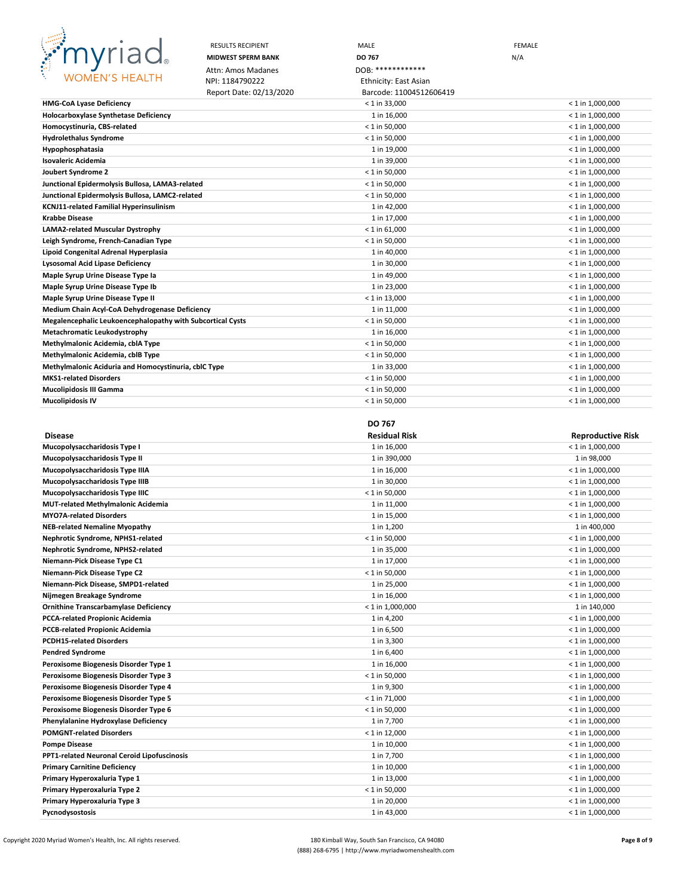

|                                                            | <b>RESULTS RECIPIENT</b>  | MALE                    | <b>FEMALE</b> |                    |
|------------------------------------------------------------|---------------------------|-------------------------|---------------|--------------------|
|                                                            | <b>MIDWEST SPERM BANK</b> | DO 767                  | N/A           |                    |
|                                                            | Attn: Amos Madanes        | DOB: *************      |               |                    |
| <b>WOMEN'S HEALTH</b>                                      | NPI: 1184790222           | Ethnicity: East Asian   |               |                    |
|                                                            | Report Date: 02/13/2020   | Barcode: 11004512606419 |               |                    |
| <b>HMG-CoA Lyase Deficiency</b>                            |                           | $< 1$ in 33,000         |               | $< 1$ in 1,000,000 |
| <b>Holocarboxylase Synthetase Deficiency</b>               |                           | 1 in 16,000             |               | $< 1$ in 1,000,000 |
| Homocystinuria, CBS-related                                |                           | $< 1$ in 50,000         |               | $< 1$ in 1,000,000 |
| <b>Hydrolethalus Syndrome</b>                              |                           | $< 1$ in 50,000         |               | $< 1$ in 1,000,000 |
| <b>Hypophosphatasia</b>                                    |                           | 1 in 19,000             |               | $<$ 1 in 1,000,000 |
| Isovaleric Acidemia                                        |                           | 1 in 39,000             |               | $< 1$ in 1,000,000 |
| Joubert Syndrome 2                                         |                           | $< 1$ in 50,000         |               | $< 1$ in 1,000,000 |
| Junctional Epidermolysis Bullosa, LAMA3-related            |                           | $< 1$ in 50,000         |               | $< 1$ in 1,000,000 |
| Junctional Epidermolysis Bullosa, LAMC2-related            |                           | $< 1$ in 50,000         |               | $< 1$ in 1,000,000 |
| KCNJ11-related Familial Hyperinsulinism                    |                           | 1 in 42,000             |               | $< 1$ in 1,000,000 |
| <b>Krabbe Disease</b>                                      |                           | 1 in 17,000             |               | $< 1$ in 1,000,000 |
| LAMA2-related Muscular Dystrophy                           |                           | $< 1$ in 61,000         |               | $< 1$ in 1,000,000 |
| Leigh Syndrome, French-Canadian Type                       |                           | $< 1$ in 50,000         |               | $< 1$ in 1,000,000 |
| Lipoid Congenital Adrenal Hyperplasia                      |                           | 1 in 40,000             |               | $< 1$ in 1,000,000 |
| Lysosomal Acid Lipase Deficiency                           |                           | 1 in 30,000             |               | $< 1$ in 1,000,000 |
| Maple Syrup Urine Disease Type la                          |                           | 1 in 49,000             |               | $< 1$ in 1,000,000 |
| Maple Syrup Urine Disease Type Ib                          |                           | 1 in 23,000             |               | $<$ 1 in 1,000,000 |
| Maple Syrup Urine Disease Type II                          |                           | $< 1$ in 13,000         |               | $< 1$ in 1,000,000 |
| Medium Chain Acyl-CoA Dehydrogenase Deficiency             |                           | 1 in 11,000             |               | $< 1$ in 1,000,000 |
| Megalencephalic Leukoencephalopathy with Subcortical Cysts |                           | $< 1$ in 50,000         |               | $<$ 1 in 1,000,000 |
| Metachromatic Leukodystrophy                               |                           | 1 in 16,000             |               | $< 1$ in 1,000,000 |
| Methylmalonic Acidemia, cblA Type                          |                           | $< 1$ in 50,000         |               | $< 1$ in 1,000,000 |
| Methylmalonic Acidemia, cblB Type                          |                           | $< 1$ in 50,000         |               | $< 1$ in 1,000,000 |
| Methylmalonic Aciduria and Homocystinuria, cblC Type       |                           | 1 in 33,000             |               | $< 1$ in 1,000,000 |
| <b>MKS1-related Disorders</b>                              |                           | $< 1$ in 50,000         |               | $< 1$ in 1,000,000 |
| Mucolipidosis III Gamma                                    |                           | $< 1$ in 50,000         |               | $<$ 1 in 1,000,000 |
| Mucolipidosis IV                                           |                           | $< 1$ in 50,000         |               | $< 1$ in 1,000,000 |

### **DO 767**

| <b>Disease</b>                               | <b>Residual Risk</b> | <b>Reproductive Risk</b> |
|----------------------------------------------|----------------------|--------------------------|
| Mucopolysaccharidosis Type I                 | 1 in 16,000          | $< 1$ in 1,000,000       |
| Mucopolysaccharidosis Type II                | 1 in 390,000         | 1 in 98,000              |
| Mucopolysaccharidosis Type IIIA              | 1 in 16,000          | $< 1$ in 1,000,000       |
| Mucopolysaccharidosis Type IIIB              | 1 in 30,000          | $< 1$ in 1,000,000       |
| Mucopolysaccharidosis Type IIIC              | $< 1$ in 50,000      | $< 1$ in 1,000,000       |
| MUT-related Methylmalonic Acidemia           | 1 in 11,000          | $<$ 1 in 1,000,000       |
| <b>MYO7A-related Disorders</b>               | 1 in 15,000          | $<$ 1 in 1,000,000       |
| <b>NEB-related Nemaline Myopathy</b>         | 1 in 1,200           | 1 in 400,000             |
| Nephrotic Syndrome, NPHS1-related            | $< 1$ in 50,000      | $< 1$ in 1,000,000       |
| Nephrotic Syndrome, NPHS2-related            | 1 in 35,000          | $< 1$ in 1,000,000       |
| Niemann-Pick Disease Type C1                 | 1 in 17,000          | $<$ 1 in 1,000,000       |
| Niemann-Pick Disease Type C2                 | $< 1$ in 50,000      | $< 1$ in 1,000,000       |
| Niemann-Pick Disease, SMPD1-related          | 1 in 25,000          | $< 1$ in 1,000,000       |
| Nijmegen Breakage Syndrome                   | 1 in 16,000          | $< 1$ in 1,000,000       |
| <b>Ornithine Transcarbamylase Deficiency</b> | $< 1$ in 1,000,000   | 1 in 140,000             |
| PCCA-related Propionic Acidemia              | 1 in 4,200           | $< 1$ in 1,000,000       |
| <b>PCCB-related Propionic Acidemia</b>       | 1 in 6,500           | $< 1$ in 1,000,000       |
| <b>PCDH15-related Disorders</b>              | 1 in 3,300           | $< 1$ in 1,000,000       |
| <b>Pendred Syndrome</b>                      | 1 in 6,400           | $< 1$ in 1,000,000       |
| Peroxisome Biogenesis Disorder Type 1        | 1 in 16,000          | $< 1$ in 1,000,000       |
| Peroxisome Biogenesis Disorder Type 3        | $< 1$ in 50,000      | $< 1$ in 1,000,000       |
| Peroxisome Biogenesis Disorder Type 4        | 1 in 9,300           | $< 1$ in 1,000,000       |
| Peroxisome Biogenesis Disorder Type 5        | $< 1$ in 71,000      | $< 1$ in 1,000,000       |
| Peroxisome Biogenesis Disorder Type 6        | $< 1$ in 50,000      | $< 1$ in 1,000,000       |
| Phenylalanine Hydroxylase Deficiency         | 1 in 7,700           | $< 1$ in 1,000,000       |
| <b>POMGNT-related Disorders</b>              | $< 1$ in 12,000      | $< 1$ in 1,000,000       |
| <b>Pompe Disease</b>                         | 1 in 10,000          | $< 1$ in 1,000,000       |
| PPT1-related Neuronal Ceroid Lipofuscinosis  | 1 in 7,700           | $< 1$ in 1,000,000       |
| <b>Primary Carnitine Deficiency</b>          | 1 in 10,000          | $< 1$ in 1,000,000       |
| Primary Hyperoxaluria Type 1                 | 1 in 13,000          | $< 1$ in 1,000,000       |
| Primary Hyperoxaluria Type 2                 | $< 1$ in 50,000      | $<$ 1 in 1,000,000       |
| Primary Hyperoxaluria Type 3                 | 1 in 20,000          | $<$ 1 in 1,000,000       |
| Pycnodysostosis                              | 1 in 43,000          | $<$ 1 in 1,000,000       |